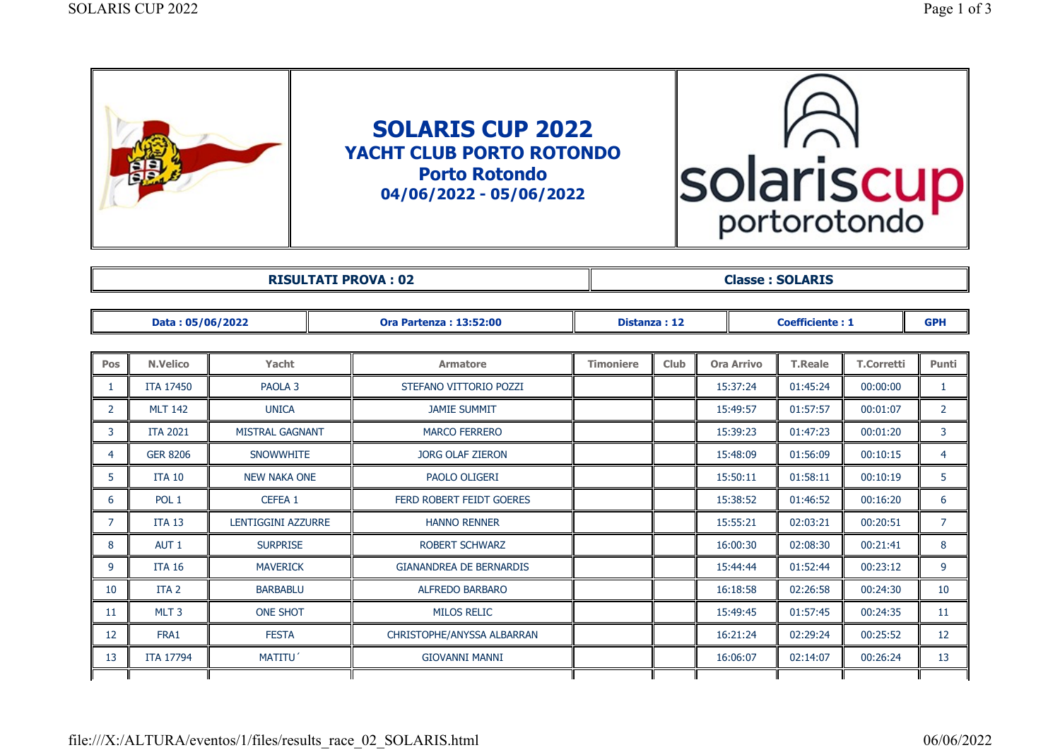| solariscu<br>portorotondo |
|---------------------------|
|                           |

| <b>DICILITATI DDAVA</b> | COL ADTC     |
|-------------------------|--------------|
| <b>VA:02</b>            | <b>Nasse</b> |
| DD.                     | <b>ARIS</b>  |
|                         |              |

|                | Data: 05/06/2022 |                        |  | <b>Ora Partenza: 13:52:00</b>  | Distanza: 12     |             |                   | <b>Coefficiente: 1</b> |                   |                |
|----------------|------------------|------------------------|--|--------------------------------|------------------|-------------|-------------------|------------------------|-------------------|----------------|
|                |                  |                        |  |                                |                  |             |                   |                        |                   |                |
| <b>Pos</b>     | <b>N.Velico</b>  | Yacht                  |  | <b>Armatore</b>                | <b>Timoniere</b> | <b>Club</b> | <b>Ora Arrivo</b> | <b>T.Reale</b>         | <b>T.Corretti</b> | Punti          |
| 1              | <b>ITA 17450</b> | PAOLA <sub>3</sub>     |  | STEFANO VITTORIO POZZI         |                  |             | 15:37:24          | 01:45:24               | 00:00:00          | 1              |
| $\overline{2}$ | <b>MLT 142</b>   | <b>UNICA</b>           |  | <b>JAMIE SUMMIT</b>            |                  |             | 15:49:57          | 01:57:57               | 00:01:07          | $\overline{2}$ |
| 3              | <b>ITA 2021</b>  | <b>MISTRAL GAGNANT</b> |  | <b>MARCO FERRERO</b>           |                  |             | 15:39:23          | 01:47:23               | 00:01:20          | 3              |
| 4              | <b>GER 8206</b>  | <b>SNOWWHITE</b>       |  | <b>JORG OLAF ZIERON</b>        |                  |             | 15:48:09          | 01:56:09               | 00:10:15          | $\overline{4}$ |
| 5.             | <b>ITA 10</b>    | <b>NEW NAKA ONE</b>    |  | PAOLO OLIGERI                  |                  |             | 15:50:11          | 01:58:11               | 00:10:19          | 5              |
| 6              | POL <sub>1</sub> | CEFEA 1                |  | FERD ROBERT FEIDT GOERES       |                  |             | 15:38:52          | 01:46:52               | 00:16:20          | 6              |
| 7              | <b>ITA 13</b>    | LENTIGGINI AZZURRE     |  | <b>HANNO RENNER</b>            |                  |             | 15:55:21          | 02:03:21               | 00:20:51          | $\overline{7}$ |
| 8              | AUT <sub>1</sub> | <b>SURPRISE</b>        |  | <b>ROBERT SCHWARZ</b>          |                  |             | 16:00:30          | 02:08:30               | 00:21:41          | 8              |
| 9              | <b>ITA 16</b>    | <b>MAVERICK</b>        |  | <b>GIANANDREA DE BERNARDIS</b> |                  |             | 15:44:44          | 01:52:44               | 00:23:12          | 9              |
| 10             | ITA <sub>2</sub> | <b>BARBABLU</b>        |  | ALFREDO BARBARO                |                  |             | 16:18:58          | 02:26:58               | 00:24:30          | 10             |
| 11             | MLT <sub>3</sub> | <b>ONE SHOT</b>        |  | <b>MILOS RELIC</b>             |                  |             | 15:49:45          | 01:57:45               | 00:24:35          | 11             |
| 12             | FRA1             | <b>FESTA</b>           |  | CHRISTOPHE/ANYSSA ALBARRAN     |                  |             | 16:21:24          | 02:29:24               | 00:25:52          | 12             |
| 13             | <b>ITA 17794</b> | MATITU'                |  | <b>GIOVANNI MANNI</b>          |                  |             | 16:06:07          | 02:14:07               | 00:26:24          | 13             |
|                |                  |                        |  |                                |                  |             |                   |                        |                   |                |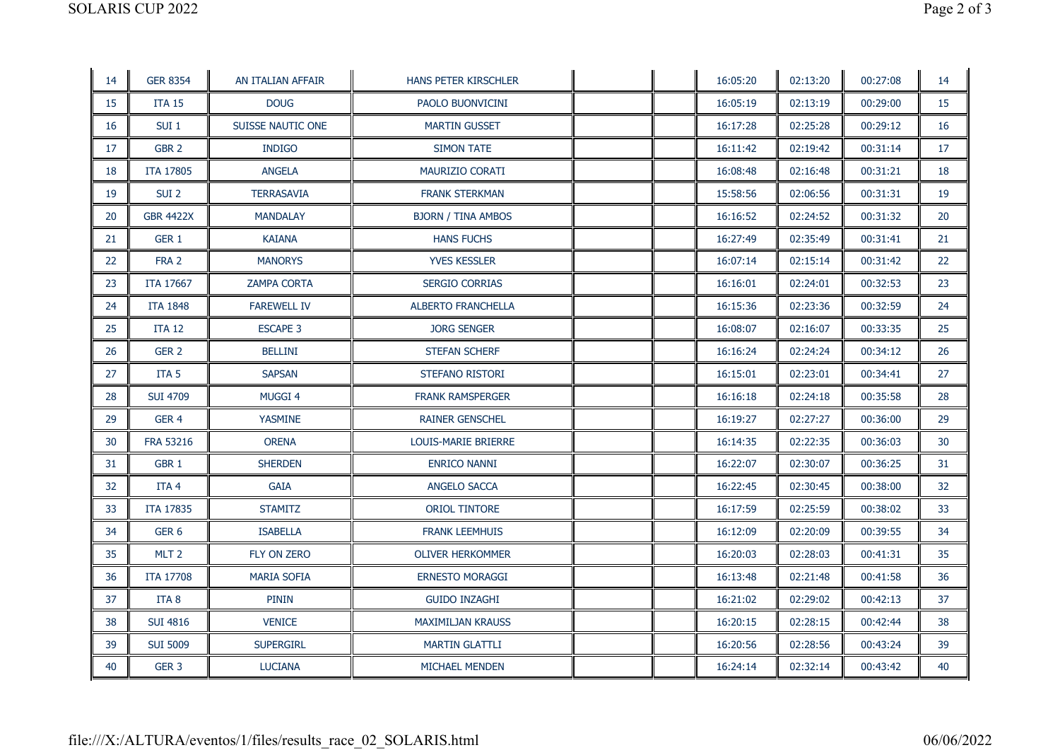| 14 | <b>GER 8354</b>  | AN ITALIAN AFFAIR  | HANS PETER KIRSCHLER      |  | 16:05:20 | 02:13:20 | 00:27:08 | 14 |
|----|------------------|--------------------|---------------------------|--|----------|----------|----------|----|
| 15 | <b>ITA 15</b>    | <b>DOUG</b>        | PAOLO BUONVICINI          |  | 16:05:19 | 02:13:19 | 00:29:00 | 15 |
| 16 | SUI <sub>1</sub> | SUISSE NAUTIC ONE  | <b>MARTIN GUSSET</b>      |  | 16:17:28 | 02:25:28 | 00:29:12 | 16 |
| 17 | GBR <sub>2</sub> | <b>INDIGO</b>      | <b>SIMON TATE</b>         |  | 16:11:42 | 02:19:42 | 00:31:14 | 17 |
| 18 | <b>ITA 17805</b> | <b>ANGELA</b>      | MAURIZIO CORATI           |  | 16:08:48 | 02:16:48 | 00:31:21 | 18 |
| 19 | SUI <sub>2</sub> | <b>TERRASAVIA</b>  | <b>FRANK STERKMAN</b>     |  | 15:58:56 | 02:06:56 | 00:31:31 | 19 |
| 20 | <b>GBR 4422X</b> | <b>MANDALAY</b>    | <b>BJORN / TINA AMBOS</b> |  | 16:16:52 | 02:24:52 | 00:31:32 | 20 |
| 21 | GER 1            | <b>KAIANA</b>      | <b>HANS FUCHS</b>         |  | 16:27:49 | 02:35:49 | 00:31:41 | 21 |
| 22 | FRA 2            | <b>MANORYS</b>     | <b>YVES KESSLER</b>       |  | 16:07:14 | 02:15:14 | 00:31:42 | 22 |
| 23 | <b>ITA 17667</b> | <b>ZAMPA CORTA</b> | <b>SERGIO CORRIAS</b>     |  | 16:16:01 | 02:24:01 | 00:32:53 | 23 |
| 24 | <b>ITA 1848</b>  | <b>FAREWELL IV</b> | <b>ALBERTO FRANCHELLA</b> |  | 16:15:36 | 02:23:36 | 00:32:59 | 24 |
| 25 | <b>ITA 12</b>    | <b>ESCAPE 3</b>    | <b>JORG SENGER</b>        |  | 16:08:07 | 02:16:07 | 00:33:35 | 25 |
| 26 | GER <sub>2</sub> | <b>BELLINI</b>     | STEFAN SCHERF             |  | 16:16:24 | 02:24:24 | 00:34:12 | 26 |
| 27 | ITA <sub>5</sub> | <b>SAPSAN</b>      | STEFANO RISTORI           |  | 16:15:01 | 02:23:01 | 00:34:41 | 27 |
| 28 | <b>SUI 4709</b>  | <b>MUGGI 4</b>     | <b>FRANK RAMSPERGER</b>   |  | 16:16:18 | 02:24:18 | 00:35:58 | 28 |
| 29 | GER <sub>4</sub> | <b>YASMINE</b>     | <b>RAINER GENSCHEL</b>    |  | 16:19:27 | 02:27:27 | 00:36:00 | 29 |
| 30 | <b>FRA 53216</b> | <b>ORENA</b>       | LOUIS-MARIE BRIERRE       |  | 16:14:35 | 02:22:35 | 00:36:03 | 30 |
| 31 | GBR <sub>1</sub> | <b>SHERDEN</b>     | <b>ENRICO NANNI</b>       |  | 16:22:07 | 02:30:07 | 00:36:25 | 31 |
| 32 | ITA <sub>4</sub> | <b>GAIA</b>        | ANGELO SACCA              |  | 16:22:45 | 02:30:45 | 00:38:00 | 32 |
| 33 | <b>ITA 17835</b> | <b>STAMITZ</b>     | <b>ORIOL TINTORE</b>      |  | 16:17:59 | 02:25:59 | 00:38:02 | 33 |
| 34 | GER <sub>6</sub> | <b>ISABELLA</b>    | <b>FRANK LEEMHUIS</b>     |  | 16:12:09 | 02:20:09 | 00:39:55 | 34 |
| 35 | MLT <sub>2</sub> | FLY ON ZERO        | <b>OLIVER HERKOMMER</b>   |  | 16:20:03 | 02:28:03 | 00:41:31 | 35 |
| 36 | <b>ITA 17708</b> | <b>MARIA SOFIA</b> | <b>ERNESTO MORAGGI</b>    |  | 16:13:48 | 02:21:48 | 00:41:58 | 36 |
| 37 | ITA <sub>8</sub> | <b>PININ</b>       | <b>GUIDO INZAGHI</b>      |  | 16:21:02 | 02:29:02 | 00:42:13 | 37 |
| 38 | <b>SUI 4816</b>  | <b>VENICE</b>      | <b>MAXIMILJAN KRAUSS</b>  |  | 16:20:15 | 02:28:15 | 00:42:44 | 38 |
| 39 | <b>SUI 5009</b>  | <b>SUPERGIRL</b>   | <b>MARTIN GLATTLI</b>     |  | 16:20:56 | 02:28:56 | 00:43:24 | 39 |
| 40 | GER <sub>3</sub> | <b>LUCIANA</b>     | <b>MICHAEL MENDEN</b>     |  | 16:24:14 | 02:32:14 | 00:43:42 | 40 |